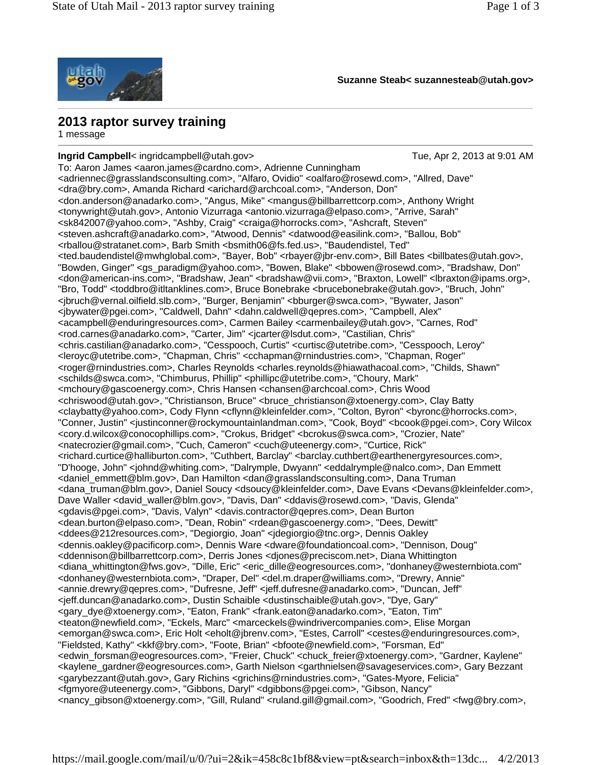

**Suzanne Steab< suzannesteab@utah.gov>**

## **2013 raptor survey training**

1 message

**Ingrid Campbell**< ingridcampbell@utah.gov> Tue, Apr 2, 2013 at 9:01 AM To: Aaron James <aaron.james@cardno.com>, Adrienne Cunningham <adriennec@grasslandsconsulting.com>, "Alfaro, Ovidio" <oalfaro@rosewd.com>, "Allred, Dave" <dra@bry.com>, Amanda Richard <arichard@archcoal.com>, "Anderson, Don" <don.anderson@anadarko.com>, "Angus, Mike" <mangus@billbarrettcorp.com>, Anthony Wright <tonywright@utah.gov>, Antonio Vizurraga <antonio.vizurraga@elpaso.com>, "Arrive, Sarah" <sk842007@yahoo.com>, "Ashby, Craig" <craiga@horrocks.com>, "Ashcraft, Steven" <steven.ashcraft@anadarko.com>, "Atwood, Dennis" <datwood@easilink.com>, "Ballou, Bob" <rballou@stratanet.com>, Barb Smith <bsmith06@fs.fed.us>, "Baudendistel, Ted" <ted.baudendistel@mwhglobal.com>, "Bayer, Bob" <rbayer@jbr-env.com>, Bill Bates <billbates@utah.gov>, "Bowden, Ginger" <gs\_paradigm@yahoo.com>, "Bowen, Blake" <bbowen@rosewd.com>, "Bradshaw, Don" <don@american-ins.com>, "Bradshaw, Jean" <bradshaw@vii.com>, "Braxton, Lowell" <lbraxton@ipams.org>, "Bro, Todd" <toddbro@itltanklines.com>, Bruce Bonebrake <brucebonebrake@utah.gov>, "Bruch, John" <jbruch@vernal.oilfield.slb.com>, "Burger, Benjamin" <bburger@swca.com>, "Bywater, Jason" <jbywater@pgei.com>, "Caldwell, Dahn" <dahn.caldwell@qepres.com>, "Campbell, Alex" <acampbell@enduringresources.com>, Carmen Bailey <carmenbailey@utah.gov>, "Carnes, Rod" <rod.carnes@anadarko.com>, "Carter, Jim" <jcarter@lsdut.com>, "Castilian, Chris" <chris.castilian@anadarko.com>, "Cesspooch, Curtis" <curtisc@utetribe.com>, "Cesspooch, Leroy" <leroyc@utetribe.com>, "Chapman, Chris" <cchapman@rnindustries.com>, "Chapman, Roger" <roger@rnindustries.com>, Charles Reynolds <charles.reynolds@hiawathacoal.com>, "Childs, Shawn" <schilds@swca.com>, "Chimburus, Phillip" <phillipc@utetribe.com>, "Choury, Mark" <mchoury@gascoenergy.com>, Chris Hansen <chansen@archcoal.com>, Chris Wood <chriswood@utah.gov>, "Christianson, Bruce" <bruce\_christianson@xtoenergy.com>, Clay Batty <claybatty@yahoo.com>, Cody Flynn <cflynn@kleinfelder.com>, "Colton, Byron" <byronc@horrocks.com>, "Conner, Justin" <justinconner@rockymountainlandman.com>, "Cook, Boyd" <bcook@pgei.com>, Cory Wilcox <cory.d.wilcox@conocophillips.com>, "Crokus, Bridget" <bcrokus@swca.com>, "Crozier, Nate" <natecrozier@gmail.com>, "Cuch, Cameron" <cuch@uteenergy.com>, "Curtice, Rick" <richard.curtice@halliburton.com>, "Cuthbert, Barclay" <barclay.cuthbert@earthenergyresources.com>, "D'hooge, John" <johnd@whiting.com>, "Dalrymple, Dwyann" <eddalrymple@nalco.com>, Dan Emmett <daniel\_emmett@blm.gov>, Dan Hamilton <dan@grasslandsconsulting.com>, Dana Truman <dana\_truman@blm.gov>, Daniel Soucy <dsoucy@kleinfelder.com>, Dave Evans <Devans@kleinfelder.com>, Dave Waller <david\_waller@blm.gov>, "Davis, Dan" <ddavis@rosewd.com>, "Davis, Glenda" <gdavis@pgei.com>, "Davis, Valyn" <davis.contractor@qepres.com>, Dean Burton <dean.burton@elpaso.com>, "Dean, Robin" <rdean@gascoenergy.com>, "Dees, Dewitt" <ddees@212resources.com>, "Degiorgio, Joan" <jdegiorgio@tnc.org>, Dennis Oakley <dennis.oakley@pacificorp.com>, Dennis Ware <dware@foundationcoal.com>, "Dennison, Doug" <ddennison@billbarrettcorp.com>, Derris Jones <djones@preciscom.net>, Diana Whittington <diana\_whittington@fws.gov>, "Dille, Eric" <eric\_dille@eogresources.com>, "donhaney@westernbiota.com" <donhaney@westernbiota.com>, "Draper, Del" <del.m.draper@williams.com>, "Drewry, Annie" <annie.drewry@qepres.com>, "Dufresne, Jeff" <jeff.dufresne@anadarko.com>, "Duncan, Jeff" <jeff.duncan@anadarko.com>, Dustin Schaible <dustinschaible@utah.gov>, "Dye, Gary" <gary\_dye@xtoenergy.com>, "Eaton, Frank" <frank.eaton@anadarko.com>, "Eaton, Tim" <teaton@newfield.com>, "Eckels, Marc" <marceckels@windrivercompanies.com>, Elise Morgan <emorgan@swca.com>, Eric Holt <eholt@jbrenv.com>, "Estes, Carroll" <cestes@enduringresources.com>, "Fieldsted, Kathy" <kkf@bry.com>, "Foote, Brian" <bfoote@newfield.com>, "Forsman, Ed" <edwin\_forsman@eogresources.com>, "Freier, Chuck" <chuck\_freier@xtoenergy.com>, "Gardner, Kaylene" <kaylene\_gardner@eogresources.com>, Garth Nielson <garthnielsen@savageservices.com>, Gary Bezzant <garybezzant@utah.gov>, Gary Richins <grichins@rnindustries.com>, "Gates-Myore, Felicia" <fgmyore@uteenergy.com>, "Gibbons, Daryl" <dgibbons@pgei.com>, "Gibson, Nancy" <nancy\_gibson@xtoenergy.com>, "Gill, Ruland" <ruland.gill@gmail.com>, "Goodrich, Fred" <fwg@bry.com>,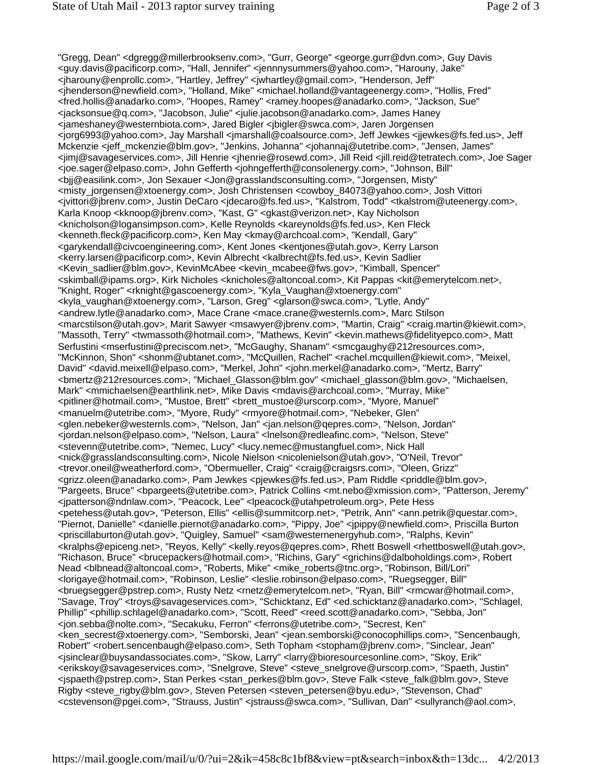"Gregg, Dean" <dgregg@millerbrooksenv.com>, "Gurr, George" <george.gurr@dvn.com>, Guy Davis <guy.davis@pacificorp.com>, "Hall, Jennifer" <jennnysummers@yahoo.com>, "Harouny, Jake" <jharouny@enprollc.com>, "Hartley, Jeffrey" <jwhartley@gmail.com>, "Henderson, Jeff" <jhenderson@newfield.com>, "Holland, Mike" <michael.holland@vantageenergy.com>, "Hollis, Fred" <fred.hollis@anadarko.com>, "Hoopes, Ramey" <ramey.hoopes@anadarko.com>, "Jackson, Sue" <jacksonsue@q.com>, "Jacobson, Julie" <julie.jacobson@anadarko.com>, James Haney <jameshaney@westernbiota.com>, Jared Bigler <jbigler@swca.com>, Jaren Jorgensen <jorg6993@yahoo.com>, Jay Marshall <jmarshall@coalsource.com>, Jeff Jewkes <jjewkes@fs.fed.us>, Jeff Mckenzie <jeff\_mckenzie@blm.gov>, "Jenkins, Johanna" <johannaj@utetribe.com>, "Jensen, James" <jimj@savageservices.com>, Jill Henrie <jhenrie@rosewd.com>, Jill Reid <jill.reid@tetratech.com>, Joe Sager <joe.sager@elpaso.com>, John Gefferth <johngefferth@consolenergy.com>, "Johnson, Bill" <bjj@easilink.com>, Jon Sexauer <Jon@grasslandsconsulting.com>, "Jorgensen, Misty" <misty\_jorgensen@xtoenergy.com>, Josh Christensen <cowboy\_84073@yahoo.com>, Josh Vittori <jvittori@jbrenv.com>, Justin DeCaro <jdecaro@fs.fed.us>, "Kalstrom, Todd" <tkalstrom@uteenergy.com>, Karla Knoop <kknoop@jbrenv.com>, "Kast, G" <gkast@verizon.net>, Kay Nicholson <knicholson@logansimpson.com>, Kelle Reynolds <kareynolds@fs.fed.us>, Ken Fleck <kenneth.fleck@pacificorp.com>, Ken May <kmay@archcoal.com>, "Kendall, Gary" <garykendall@civcoengineering.com>, Kent Jones <kentjones@utah.gov>, Kerry Larson <kerry.larsen@pacificorp.com>, Kevin Albrecht <kalbrecht@fs.fed.us>, Kevin Sadlier <Kevin\_sadlier@blm.gov>, KevinMcAbee <kevin\_mcabee@fws.gov>, "Kimball, Spencer" <skimball@ipams.org>, Kirk Nicholes <knicholes@altoncoal.com>, Kit Pappas <kit@emerytelcom.net>, "Knight, Roger" <rknight@gascoenergy.com>, "Kyla\_Vaughan@xtoenergy.com" <kyla\_vaughan@xtoenergy.com>, "Larson, Greg" <glarson@swca.com>, "Lytle, Andy" <andrew.lytle@anadarko.com>, Mace Crane <mace.crane@westernls.com>, Marc Stilson <marcstilson@utah.gov>, Marit Sawyer <msawyer@jbrenv.com>, "Martin, Craig" <craig.martin@kiewit.com>, "Massoth, Terry" <twmassoth@hotmail.com>, "Mathews, Kevin" <kevin.mathews@fidelityepco.com>, Matt Serfustini <mserfustini@preciscom.net>, "McGaughy, Shanam" <smcgaughy@212resources.com>, "McKinnon, Shon" <shonm@ubtanet.com>, "McQuillen, Rachel" <rachel.mcquillen@kiewit.com>, "Meixel, David" <david.meixell@elpaso.com>, "Merkel, John" <john.merkel@anadarko.com>, "Mertz, Barry" <bmertz@212resources.com>, "Michael\_Glasson@blm.gov" <michael\_glasson@blm.gov>, "Michaelsen, Mark" <mmichaelsen@earthlink.net>, Mike Davis <mdavis@archcoal.com>, "Murray, Mike" <pitliner@hotmail.com>, "Mustoe, Brett" <brett\_mustoe@urscorp.com>, "Myore, Manuel" <manuelm@utetribe.com>, "Myore, Rudy" <rmyore@hotmail.com>, "Nebeker, Glen" <glen.nebeker@westernls.com>, "Nelson, Jan" <jan.nelson@qepres.com>, "Nelson, Jordan" <jordan.nelson@elpaso.com>, "Nelson, Laura" <lnelson@redleafinc.com>, "Nelson, Steve" <stevenn@utetribe.com>, "Nemec, Lucy" <lucy.nemec@mustangfuel.com>, Nick Hall <nick@grasslandsconsulting.com>, Nicole Nielson <nicolenielson@utah.gov>, "O'Neil, Trevor" <trevor.oneil@weatherford.com>, "Obermueller, Craig" <craig@craigsrs.com>, "Oleen, Grizz" <grizz.oleen@anadarko.com>, Pam Jewkes <pjewkes@fs.fed.us>, Pam Riddle <priddle@blm.gov>, "Pargeets, Bruce" <bpargeets@utetribe.com>, Patrick Collins <mt.nebo@xmission.com>, "Patterson, Jeremy" <jpatterson@ndnlaw.com>, "Peacock, Lee" <lpeacock@utahpetroleum.org>, Pete Hess <petehess@utah.gov>, "Peterson, Ellis" <ellis@summitcorp.net>, "Petrik, Ann" <ann.petrik@questar.com>, "Piernot, Danielle" <danielle.piernot@anadarko.com>, "Pippy, Joe" <jpippy@newfield.com>, Priscilla Burton <priscillaburton@utah.gov>, "Quigley, Samuel" <sam@westernenergyhub.com>, "Ralphs, Kevin" <kralphs@epiceng.net>, "Reyos, Kelly" <kelly.reyos@qepres.com>, Rhett Boswell <rhettboswell@utah.gov>, "Richason, Bruce" <brucepackers@hotmail.com>, "Richins, Gary" <grichins@dalboholdings.com>, Robert Nead <blbnead@altoncoal.com>, "Roberts, Mike" <mike\_roberts@tnc.org>, "Robinson, Bill/Lori" <lorigaye@hotmail.com>, "Robinson, Leslie" <leslie.robinson@elpaso.com>, "Ruegsegger, Bill" <bruegsegger@pstrep.com>, Rusty Netz <rnetz@emerytelcom.net>, "Ryan, Bill" <rmcwar@hotmail.com>, "Savage, Troy" <troys@savageservices.com>, "Schicktanz, Ed" <ed.schicktanz@anadarko.com>, "Schlagel, Phillip" <phillip.schlagel@anadarko.com>, "Scott, Reed" <reed.scott@anadarko.com>, "Sebba, Jon" <jon.sebba@nolte.com>, "Secakuku, Ferron" <ferrons@utetribe.com>, "Secrest, Ken" <ken\_secrest@xtoenergy.com>, "Semborski, Jean" <jean.semborski@conocophillips.com>, "Sencenbaugh, Robert" <robert.sencenbaugh@elpaso.com>, Seth Topham <stopham@jbrenv.com>, "Sinclear, Jean" <jsinclear@buysandassociates.com>, "Skow, Larry" <larry@bioresourcesonline.com>, "Skoy, Erik" <erikskoy@savageservices.com>, "Snelgrove, Steve" <steve\_snelgrove@urscorp.com>, "Spaeth, Justin" <jspaeth@pstrep.com>, Stan Perkes <stan\_perkes@blm.gov>, Steve Falk <steve\_falk@blm.gov>, Steve Rigby <steve\_rigby@blm.gov>, Steven Petersen <steven\_petersen@byu.edu>, "Stevenson, Chad" <cstevenson@pgei.com>, "Strauss, Justin" <jstrauss@swca.com>, "Sullivan, Dan" <sullyranch@aol.com>,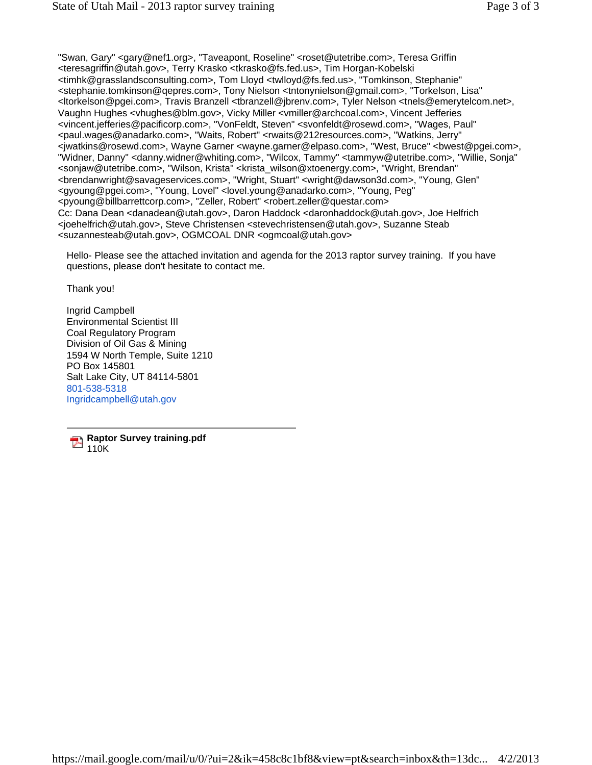"Swan, Gary" <gary@nef1.org>, "Taveapont, Roseline" <roset@utetribe.com>, Teresa Griffin <teresagriffin@utah.gov>, Terry Krasko <tkrasko@fs.fed.us>, Tim Horgan-Kobelski <timhk@grasslandsconsulting.com>, Tom Lloyd <twlloyd@fs.fed.us>, "Tomkinson, Stephanie" <stephanie.tomkinson@qepres.com>, Tony Nielson <tntonynielson@gmail.com>, "Torkelson, Lisa" <ltorkelson@pgei.com>, Travis Branzell <tbranzell@jbrenv.com>, Tyler Nelson <tnels@emerytelcom.net>, Vaughn Hughes <vhughes@blm.gov>, Vicky Miller <vmiller@archcoal.com>, Vincent Jefferies <vincent.jefferies@pacificorp.com>, "VonFeldt, Steven" <svonfeldt@rosewd.com>, "Wages, Paul" <paul.wages@anadarko.com>, "Waits, Robert" <rwaits@212resources.com>, "Watkins, Jerry" <jwatkins@rosewd.com>, Wayne Garner <wayne.garner@elpaso.com>, "West, Bruce" <bwest@pgei.com>, "Widner, Danny" <danny.widner@whiting.com>, "Wilcox, Tammy" <tammyw@utetribe.com>, "Willie, Sonja" <sonjaw@utetribe.com>, "Wilson, Krista" <krista\_wilson@xtoenergy.com>, "Wright, Brendan" <brendanwright@savageservices.com>, "Wright, Stuart" <wright@dawson3d.com>, "Young, Glen" <gyoung@pgei.com>, "Young, Lovel" <lovel.young@anadarko.com>, "Young, Peg" <pyoung@billbarrettcorp.com>, "Zeller, Robert" <robert.zeller@questar.com> Cc: Dana Dean <danadean@utah.gov>, Daron Haddock <daronhaddock@utah.gov>, Joe Helfrich <joehelfrich@utah.gov>, Steve Christensen <stevechristensen@utah.gov>, Suzanne Steab <suzannesteab@utah.gov>, OGMCOAL DNR <ogmcoal@utah.gov>

Hello- Please see the attached invitation and agenda for the 2013 raptor survey training. If you have questions, please don't hesitate to contact me.

Thank you!

Ingrid Campbell Environmental Scientist III Coal Regulatory Program Division of Oil Gas & Mining 1594 W North Temple, Suite 1210 PO Box 145801 Salt Lake City, UT 84114-5801 801-538-5318 Ingridcampbell@utah.gov

**Raptor Survey training.pdf** 110K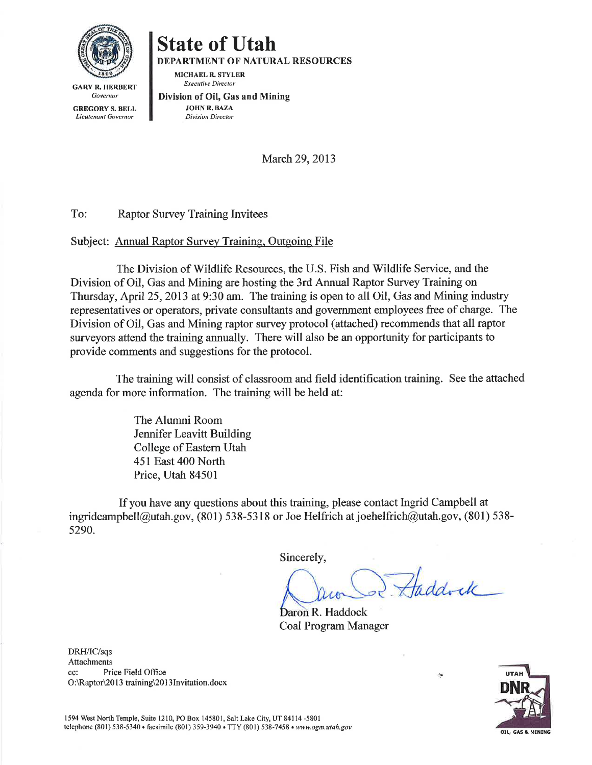

## **State of Utah**

**DEPARTMENT OF NATURAL RESOURCES** 

MICHAEL R. STYLER **Executive Director** 

**GARY R. HERBERT** Governor **GREGORY S. BELL** 

Lieutenant Governor

Division of Oil, Gas and Mining **JOHN R. BAZA Division Director** 

March 29, 2013

To: **Raptor Survey Training Invitees** 

## Subject: Annual Raptor Survey Training, Outgoing File

The Division of Wildlife Resources, the U.S. Fish and Wildlife Service, and the Division of Oil, Gas and Mining are hosting the 3rd Annual Raptor Survey Training on Thursday, April 25, 2013 at 9:30 am. The training is open to all Oil, Gas and Mining industry representatives or operators, private consultants and government employees free of charge. The Division of Oil, Gas and Mining raptor survey protocol (attached) recommends that all raptor surveyors attend the training annually. There will also be an opportunity for participants to provide comments and suggestions for the protocol.

The training will consist of classroom and field identification training. See the attached agenda for more information. The training will be held at:

> The Alumni Room **Jennifer Leavitt Building** College of Eastern Utah 451 East 400 North Price, Utah 84501

If you have any questions about this training, please contact Ingrid Campbell at ingridcampbell@utah.gov, (801) 538-5318 or Joe Helfrich at joehelfrich@utah.gov, (801) 538-5290.

Sincerely,

Haddock

 $\sim$ 

Daron R. Haddock **Coal Program Manager** 

DRH/IC/sqs **Attachments** Price Field Office cc: O:\Raptor\2013 training\2013Invitation.docx